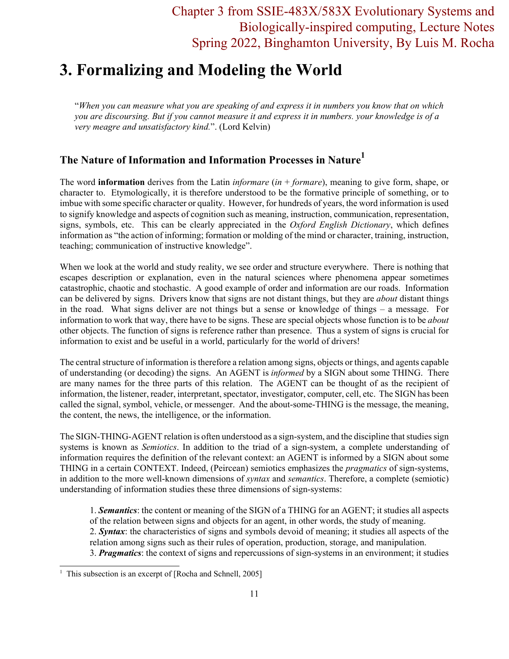## Chapter 3 from SSIE-483X/583X Evolutionary Systems and Biologically-inspired computing, Lecture Notes Spring 2022, Binghamton University, By Luis M. Rocha

# **3. Formalizing and Modeling the World**

"*When you can measure what you are speaking of and express it in numbers you know that on which you are discoursing. But if you cannot measure it and express it in numbers. your knowledge is of a very meagre and unsatisfactory kind.*". (Lord Kelvin)

## **The Nature of Information and Information Processes in Nature1**

The word **information** derives from the Latin *informare* (*in* + *formare*), meaning to give form, shape, or character to. Etymologically, it is therefore understood to be the formative principle of something, or to imbue with some specific character or quality. However, for hundreds of years, the word information is used to signify knowledge and aspects of cognition such as meaning, instruction, communication, representation, signs, symbols, etc. This can be clearly appreciated in the *Oxford English Dictionary*, which defines information as "the action of informing; formation or molding of the mind or character, training, instruction, teaching; communication of instructive knowledge".

When we look at the world and study reality, we see order and structure everywhere. There is nothing that escapes description or explanation, even in the natural sciences where phenomena appear sometimes catastrophic, chaotic and stochastic. A good example of order and information are our roads. Information can be delivered by signs. Drivers know that signs are not distant things, but they are *about* distant things in the road. What signs deliver are not things but a sense or knowledge of things – a message. For information to work that way, there have to be signs. These are special objects whose function is to be *about* other objects. The function of signs is reference rather than presence. Thus a system of signs is crucial for information to exist and be useful in a world, particularly for the world of drivers!

The central structure of information is therefore a relation among signs, objects or things, and agents capable of understanding (or decoding) the signs. An AGENT is *informed* by a SIGN about some THING. There are many names for the three parts of this relation. The AGENT can be thought of as the recipient of information, the listener, reader, interpretant, spectator, investigator, computer, cell, etc. The SIGN has been called the signal, symbol, vehicle, or messenger. And the about-some-THING is the message, the meaning, the content, the news, the intelligence, or the information.

The SIGN-THING-AGENT relation is often understood as a sign-system, and the discipline that studies sign systems is known as *Semiotics*. In addition to the triad of a sign-system, a complete understanding of information requires the definition of the relevant context: an AGENT is informed by a SIGN about some THING in a certain CONTEXT. Indeed, (Peircean) semiotics emphasizes the *pragmatics* of sign-systems, in addition to the more well-known dimensions of *syntax* and *semantics*. Therefore, a complete (semiotic) understanding of information studies these three dimensions of sign-systems:

1. *Semantics*: the content or meaning of the SIGN of a THING for an AGENT; it studies all aspects of the relation between signs and objects for an agent, in other words, the study of meaning.

- 2. *Syntax*: the characteristics of signs and symbols devoid of meaning; it studies all aspects of the relation among signs such as their rules of operation, production, storage, and manipulation.
- 3. *Pragmatics*: the context of signs and repercussions of sign-systems in an environment; it studies

<sup>&</sup>lt;sup>1</sup> This subsection is an excerpt of [Rocha and Schnell, 2005]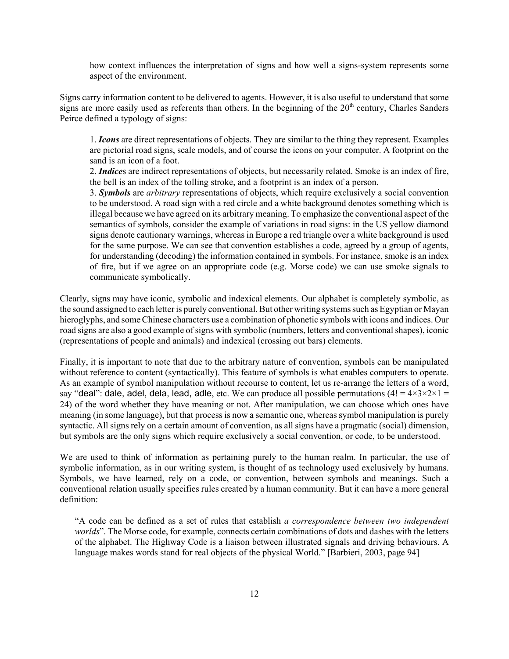how context influences the interpretation of signs and how well a signs-system represents some aspect of the environment.

Signs carry information content to be delivered to agents. However, it is also useful to understand that some signs are more easily used as referents than others. In the beginning of the 20<sup>th</sup> century, Charles Sanders Peirce defined a typology of signs:

1. *Icons* are direct representations of objects. They are similar to the thing they represent. Examples are pictorial road signs, scale models, and of course the icons on your computer. A footprint on the sand is an icon of a foot.

2. *Indice*s are indirect representations of objects, but necessarily related. Smoke is an index of fire, the bell is an index of the tolling stroke, and a footprint is an index of a person.

3. *Symbols* are *arbitrary* representations of objects, which require exclusively a social convention to be understood. A road sign with a red circle and a white background denotes something which is illegal because we have agreed on its arbitrary meaning. To emphasize the conventional aspect of the semantics of symbols, consider the example of variations in road signs: in the US yellow diamond signs denote cautionary warnings, whereas in Europe a red triangle over a white background is used for the same purpose. We can see that convention establishes a code, agreed by a group of agents, for understanding (decoding) the information contained in symbols. For instance, smoke is an index of fire, but if we agree on an appropriate code (e.g. Morse code) we can use smoke signals to communicate symbolically.

Clearly, signs may have iconic, symbolic and indexical elements. Our alphabet is completely symbolic, as the sound assigned to each letter is purely conventional. But other writing systems such as Egyptian or Mayan hieroglyphs, and some Chinese characters use a combination of phonetic symbols with icons and indices. Our road signs are also a good example of signs with symbolic (numbers, letters and conventional shapes), iconic (representations of people and animals) and indexical (crossing out bars) elements.

Finally, it is important to note that due to the arbitrary nature of convention, symbols can be manipulated without reference to content (syntactically). This feature of symbols is what enables computers to operate. As an example of symbol manipulation without recourse to content, let us re-arrange the letters of a word, say "deal": dale, adel, dela, lead, adle, etc. We can produce all possible permutations  $(4! = 4 \times 3 \times 2 \times 1 = 1)$ 24) of the word whether they have meaning or not. After manipulation, we can choose which ones have meaning (in some language), but that process is now a semantic one, whereas symbol manipulation is purely syntactic. All signs rely on a certain amount of convention, as all signs have a pragmatic (social) dimension, but symbols are the only signs which require exclusively a social convention, or code, to be understood.

We are used to think of information as pertaining purely to the human realm. In particular, the use of symbolic information, as in our writing system, is thought of as technology used exclusively by humans. Symbols, we have learned, rely on a code, or convention, between symbols and meanings. Such a conventional relation usually specifies rules created by a human community. But it can have a more general definition:

"A code can be defined as a set of rules that establish *a correspondence between two independent worlds*". The Morse code, for example, connects certain combinations of dots and dashes with the letters of the alphabet. The Highway Code is a liaison between illustrated signals and driving behaviours. A language makes words stand for real objects of the physical World." [Barbieri, 2003, page 94]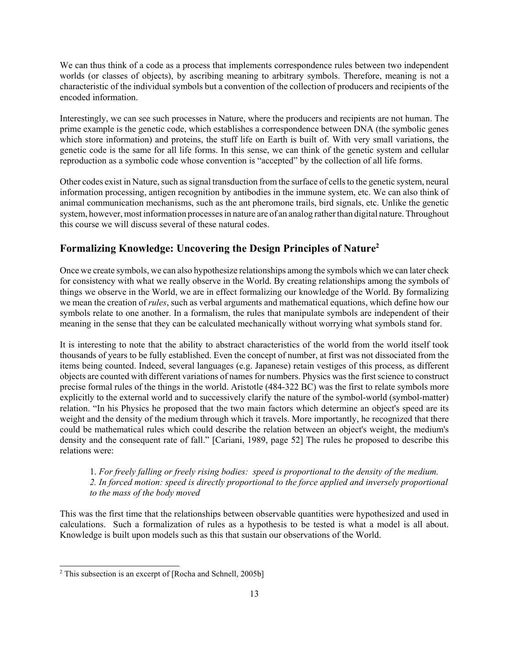We can thus think of a code as a process that implements correspondence rules between two independent worlds (or classes of objects), by ascribing meaning to arbitrary symbols. Therefore, meaning is not a characteristic of the individual symbols but a convention of the collection of producers and recipients of the encoded information.

Interestingly, we can see such processes in Nature, where the producers and recipients are not human. The prime example is the genetic code, which establishes a correspondence between DNA (the symbolic genes which store information) and proteins, the stuff life on Earth is built of. With very small variations, the genetic code is the same for all life forms. In this sense, we can think of the genetic system and cellular reproduction as a symbolic code whose convention is "accepted" by the collection of all life forms.

Other codes exist in Nature, such as signal transduction from the surface of cells to the genetic system, neural information processing, antigen recognition by antibodies in the immune system, etc. We can also think of animal communication mechanisms, such as the ant pheromone trails, bird signals, etc. Unlike the genetic system, however, most information processes in nature are of an analog rather than digital nature. Throughout this course we will discuss several of these natural codes.

### **Formalizing Knowledge: Uncovering the Design Principles of Nature2**

Once we create symbols, we can also hypothesize relationships among the symbols which we can later check for consistency with what we really observe in the World. By creating relationships among the symbols of things we observe in the World, we are in effect formalizing our knowledge of the World. By formalizing we mean the creation of *rules*, such as verbal arguments and mathematical equations, which define how our symbols relate to one another. In a formalism, the rules that manipulate symbols are independent of their meaning in the sense that they can be calculated mechanically without worrying what symbols stand for.

It is interesting to note that the ability to abstract characteristics of the world from the world itself took thousands of years to be fully established. Even the concept of number, at first was not dissociated from the items being counted. Indeed, several languages (e.g. Japanese) retain vestiges of this process, as different objects are counted with different variations of names for numbers. Physics was the first science to construct precise formal rules of the things in the world. Aristotle (484-322 BC) was the first to relate symbols more explicitly to the external world and to successively clarify the nature of the symbol-world (symbol-matter) relation. "In his Physics he proposed that the two main factors which determine an object's speed are its weight and the density of the medium through which it travels. More importantly, he recognized that there could be mathematical rules which could describe the relation between an object's weight, the medium's density and the consequent rate of fall." [Cariani, 1989, page 52] The rules he proposed to describe this relations were:

#### 1. *For freely falling or freely rising bodies: speed is proportional to the density of the medium. 2. In forced motion: speed is directly proportional to the force applied and inversely proportional to the mass of the body moved*

This was the first time that the relationships between observable quantities were hypothesized and used in calculations. Such a formalization of rules as a hypothesis to be tested is what a model is all about. Knowledge is built upon models such as this that sustain our observations of the World.

 $2$  This subsection is an excerpt of [Rocha and Schnell, 2005b]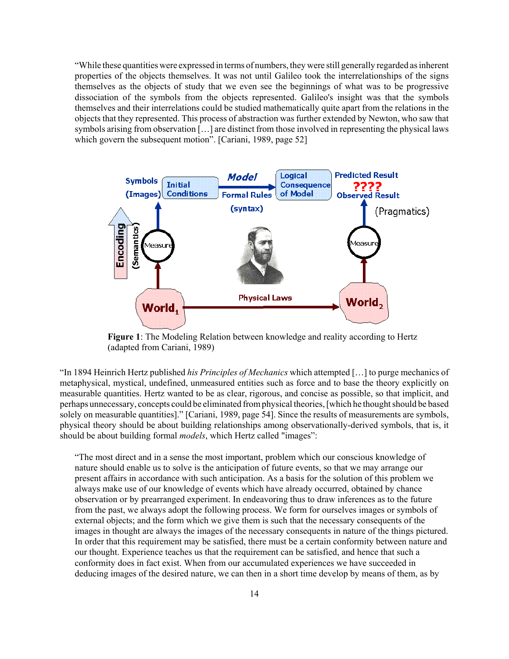"While these quantities were expressed in terms of numbers, they were still generally regarded as inherent properties of the objects themselves. It was not until Galileo took the interrelationships of the signs themselves as the objects of study that we even see the beginnings of what was to be progressive dissociation of the symbols from the objects represented. Galileo's insight was that the symbols themselves and their interrelations could be studied mathematically quite apart from the relations in the objects that they represented. This process of abstraction was further extended by Newton, who saw that symbols arising from observation […] are distinct from those involved in representing the physical laws which govern the subsequent motion". [Cariani, 1989, page 52]



**Figure 1**: The Modeling Relation between knowledge and reality according to Hertz (adapted from Cariani, 1989)

"In 1894 Heinrich Hertz published *his Principles of Mechanics* which attempted […] to purge mechanics of metaphysical, mystical, undefined, unmeasured entities such as force and to base the theory explicitly on measurable quantities. Hertz wanted to be as clear, rigorous, and concise as possible, so that implicit, and perhaps unnecessary, concepts could be eliminated from physical theories, [which he thought should be based solely on measurable quantities]." [Cariani, 1989, page 54]. Since the results of measurements are symbols, physical theory should be about building relationships among observationally-derived symbols, that is, it should be about building formal *models*, which Hertz called "images":

"The most direct and in a sense the most important, problem which our conscious knowledge of nature should enable us to solve is the anticipation of future events, so that we may arrange our present affairs in accordance with such anticipation. As a basis for the solution of this problem we always make use of our knowledge of events which have already occurred, obtained by chance observation or by prearranged experiment. In endeavoring thus to draw inferences as to the future from the past, we always adopt the following process. We form for ourselves images or symbols of external objects; and the form which we give them is such that the necessary consequents of the images in thought are always the images of the necessary consequents in nature of the things pictured. In order that this requirement may be satisfied, there must be a certain conformity between nature and our thought. Experience teaches us that the requirement can be satisfied, and hence that such a conformity does in fact exist. When from our accumulated experiences we have succeeded in deducing images of the desired nature, we can then in a short time develop by means of them, as by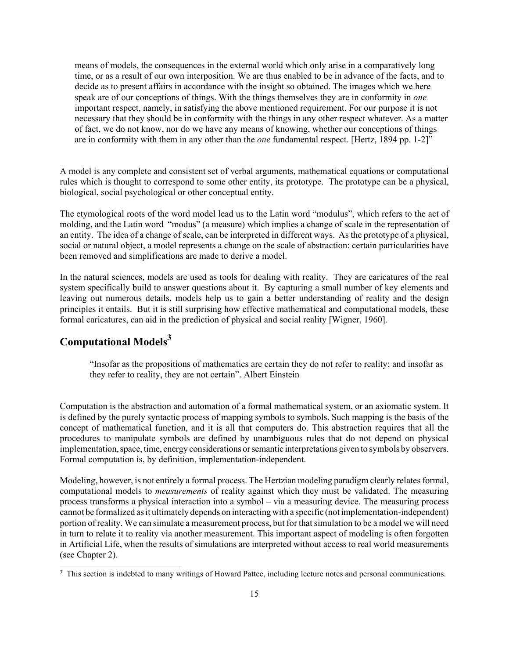means of models, the consequences in the external world which only arise in a comparatively long time, or as a result of our own interposition. We are thus enabled to be in advance of the facts, and to decide as to present affairs in accordance with the insight so obtained. The images which we here speak are of our conceptions of things. With the things themselves they are in conformity in *one* important respect, namely, in satisfying the above mentioned requirement. For our purpose it is not necessary that they should be in conformity with the things in any other respect whatever. As a matter of fact, we do not know, nor do we have any means of knowing, whether our conceptions of things are in conformity with them in any other than the *one* fundamental respect. [Hertz, 1894 pp. 1-2]"

A model is any complete and consistent set of verbal arguments, mathematical equations or computational rules which is thought to correspond to some other entity, its prototype. The prototype can be a physical, biological, social psychological or other conceptual entity.

The etymological roots of the word model lead us to the Latin word "modulus", which refers to the act of molding, and the Latin word "modus" (a measure) which implies a change of scale in the representation of an entity. The idea of a change of scale, can be interpreted in different ways. As the prototype of a physical, social or natural object, a model represents a change on the scale of abstraction: certain particularities have been removed and simplifications are made to derive a model.

In the natural sciences, models are used as tools for dealing with reality. They are caricatures of the real system specifically build to answer questions about it. By capturing a small number of key elements and leaving out numerous details, models help us to gain a better understanding of reality and the design principles it entails. But it is still surprising how effective mathematical and computational models, these formal caricatures, can aid in the prediction of physical and social reality [Wigner, 1960].

## **Computational Models<sup>3</sup>**

"Insofar as the propositions of mathematics are certain they do not refer to reality; and insofar as they refer to reality, they are not certain". Albert Einstein

Computation is the abstraction and automation of a formal mathematical system, or an axiomatic system. It is defined by the purely syntactic process of mapping symbols to symbols. Such mapping is the basis of the concept of mathematical function, and it is all that computers do. This abstraction requires that all the procedures to manipulate symbols are defined by unambiguous rules that do not depend on physical implementation, space, time, energy considerations or semantic interpretations given to symbols by observers. Formal computation is, by definition, implementation-independent.

Modeling, however, is not entirely a formal process. The Hertzian modeling paradigm clearly relates formal, computational models to *measurements* of reality against which they must be validated. The measuring process transforms a physical interaction into a symbol – via a measuring device. The measuring process cannot be formalized as it ultimately depends on interacting with a specific (not implementation-independent) portion of reality. We can simulate a measurement process, but for that simulation to be a model we will need in turn to relate it to reality via another measurement. This important aspect of modeling is often forgotten in Artificial Life, when the results of simulations are interpreted without access to real world measurements (see Chapter 2).

<sup>&</sup>lt;sup>3</sup> This section is indebted to many writings of Howard Pattee, including lecture notes and personal communications.